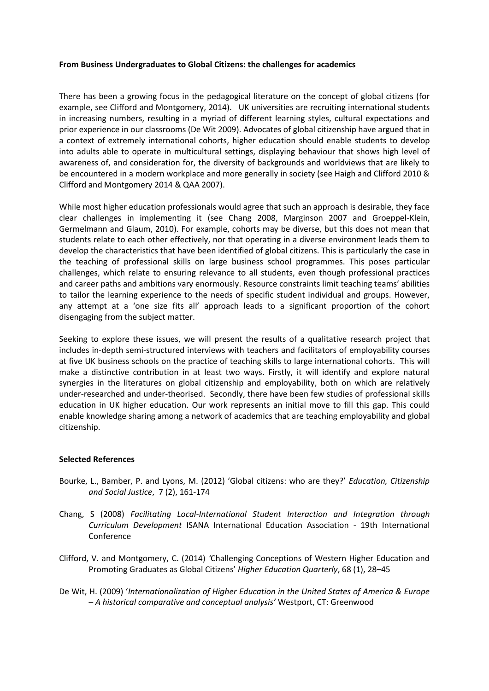## **From Business Undergraduates to Global Citizens: the challenges for academics**

There has been a growing focus in the pedagogical literature on the concept of global citizens (for example, see Clifford and Montgomery, 2014). UK universities are recruiting international students in increasing numbers, resulting in a myriad of different learning styles, cultural expectations and prior experience in our classrooms (De Wit 2009). Advocates of global citizenship have argued that in a context of extremely international cohorts, higher education should enable students to develop into adults able to operate in multicultural settings, displaying behaviour that shows high level of awareness of, and consideration for, the diversity of backgrounds and worldviews that are likely to be encountered in a modern workplace and more generally in society (see Haigh and Clifford 2010 & Clifford and Montgomery 2014 & QAA 2007).

While most higher education professionals would agree that such an approach is desirable, they face clear challenges in implementing it (see Chang 2008, Marginson 2007 and Groeppel-Klein, Germelmann and Glaum, 2010). For example, cohorts may be diverse, but this does not mean that students relate to each other effectively, nor that operating in a diverse environment leads them to develop the characteristics that have been identified of global citizens. This is particularly the case in the teaching of professional skills on large business school programmes. This poses particular challenges, which relate to ensuring relevance to all students, even though professional practices and career paths and ambitions vary enormously. Resource constraints limit teaching teams' abilities to tailor the learning experience to the needs of specific student individual and groups. However, any attempt at a 'one size fits all' approach leads to a significant proportion of the cohort disengaging from the subject matter.

Seeking to explore these issues, we will present the results of a qualitative research project that includes in-depth semi-structured interviews with teachers and facilitators of employability courses at five UK business schools on the practice of teaching skills to large international cohorts. This will make a distinctive contribution in at least two ways. Firstly, it will identify and explore natural synergies in the literatures on global citizenship and employability, both on which are relatively under-researched and under-theorised. Secondly, there have been few studies of professional skills education in UK higher education. Our work represents an initial move to fill this gap. This could enable knowledge sharing among a network of academics that are teaching employability and global citizenship.

## **Selected References**

- Bourke, L., Bamber, P. and Lyons, M. (2012) 'Global citizens: who are they?' *Education, Citizenship and Social Justice*, 7 (2), 161-174
- Chang, S (2008) *Facilitating Local-International Student Interaction and Integration through Curriculum Development* ISANA International Education Association - 19th International Conference
- Clifford, V. and Montgomery, C. (2014) *'*Challenging Conceptions of Western Higher Education and Promoting Graduates as Global Citizens' *Higher Education Quarterly*, 68 (1), 28–45
- De Wit, H. (2009) '*Internationalization of Higher Education in the United States of America & Europe – A historical comparative and conceptual analysis'* Westport, CT: Greenwood